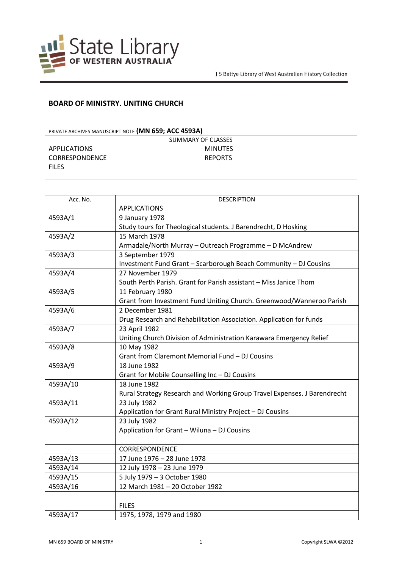

## **BOARD OF MINISTRY. UNITING CHURCH**

## PRIVATE ARCHIVES MANUSCRIPT NOTE **(MN 659; ACC 4593A)**

| SUMMARY OF CLASSES    |                |  |
|-----------------------|----------------|--|
| APPLICATIONS          | <b>MINUTES</b> |  |
| <b>CORRESPONDENCE</b> | <b>REPORTS</b> |  |
| <b>FILES</b>          |                |  |
|                       |                |  |

| Acc. No. | <b>DESCRIPTION</b>                                                       |
|----------|--------------------------------------------------------------------------|
|          | <b>APPLICATIONS</b>                                                      |
| 4593A/1  | 9 January 1978                                                           |
|          | Study tours for Theological students. J Barendrecht, D Hosking           |
| 4593A/2  | 15 March 1978                                                            |
|          | Armadale/North Murray - Outreach Programme - D McAndrew                  |
| 4593A/3  | 3 September 1979                                                         |
|          | Investment Fund Grant - Scarborough Beach Community - DJ Cousins         |
| 4593A/4  | 27 November 1979                                                         |
|          | South Perth Parish. Grant for Parish assistant - Miss Janice Thom        |
| 4593A/5  | 11 February 1980                                                         |
|          | Grant from Investment Fund Uniting Church. Greenwood/Wanneroo Parish     |
| 4593A/6  | 2 December 1981                                                          |
|          | Drug Research and Rehabilitation Association. Application for funds      |
| 4593A/7  | 23 April 1982                                                            |
|          | Uniting Church Division of Administration Karawara Emergency Relief      |
| 4593A/8  | 10 May 1982                                                              |
|          | Grant from Claremont Memorial Fund - DJ Cousins                          |
| 4593A/9  | 18 June 1982                                                             |
|          | Grant for Mobile Counselling Inc - DJ Cousins                            |
| 4593A/10 | 18 June 1982                                                             |
|          | Rural Strategy Research and Working Group Travel Expenses. J Barendrecht |
| 4593A/11 | 23 July 1982                                                             |
|          | Application for Grant Rural Ministry Project - DJ Cousins                |
| 4593A/12 | 23 July 1982                                                             |
|          | Application for Grant - Wiluna - DJ Cousins                              |
|          |                                                                          |
|          | CORRESPONDENCE                                                           |
| 4593A/13 | 17 June 1976 - 28 June 1978                                              |
| 4593A/14 | 12 July 1978 - 23 June 1979                                              |
| 4593A/15 | 5 July 1979 - 3 October 1980                                             |
| 4593A/16 | 12 March 1981 - 20 October 1982                                          |
|          |                                                                          |
|          | <b>FILES</b>                                                             |
| 4593A/17 | 1975, 1978, 1979 and 1980                                                |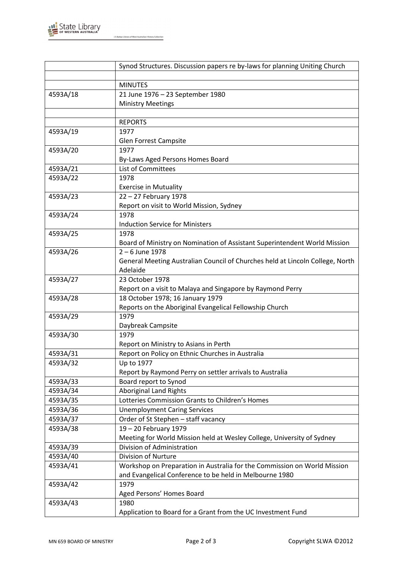

J S Battye Library of West Australian History Collection

|                      | Synod Structures. Discussion papers re by-laws for planning Uniting Church       |
|----------------------|----------------------------------------------------------------------------------|
|                      |                                                                                  |
|                      | <b>MINUTES</b>                                                                   |
| 4593A/18             | 21 June 1976 - 23 September 1980                                                 |
|                      | <b>Ministry Meetings</b>                                                         |
|                      | <b>REPORTS</b>                                                                   |
| 4593A/19             | 1977                                                                             |
|                      | <b>Glen Forrest Campsite</b>                                                     |
| 4593A/20             | 1977                                                                             |
|                      | By-Laws Aged Persons Homes Board                                                 |
| 4593A/21             | <b>List of Committees</b>                                                        |
| 4593A/22             | 1978                                                                             |
|                      | <b>Exercise in Mutuality</b>                                                     |
| 4593A/23             | 22 - 27 February 1978                                                            |
|                      | Report on visit to World Mission, Sydney                                         |
| 4593A/24             | 1978                                                                             |
|                      | <b>Induction Service for Ministers</b>                                           |
| 4593A/25             | 1978                                                                             |
|                      | Board of Ministry on Nomination of Assistant Superintendent World Mission        |
| 4593A/26             | $2 - 6$ June 1978                                                                |
|                      | General Meeting Australian Council of Churches held at Lincoln College, North    |
|                      | Adelaide                                                                         |
| 4593A/27             | 23 October 1978                                                                  |
|                      | Report on a visit to Malaya and Singapore by Raymond Perry                       |
| 4593A/28             | 18 October 1978; 16 January 1979                                                 |
|                      | Reports on the Aboriginal Evangelical Fellowship Church                          |
| 4593A/29             | 1979                                                                             |
|                      | Daybreak Campsite                                                                |
| 4593A/30             | 1979                                                                             |
|                      | Report on Ministry to Asians in Perth                                            |
| 4593A/31             | Report on Policy on Ethnic Churches in Australia                                 |
| 4593A/32             | Up to 1977                                                                       |
|                      | Report by Raymond Perry on settler arrivals to Australia                         |
| 4593A/33             | Board report to Synod                                                            |
| 4593A/34             | <b>Aboriginal Land Rights</b><br>Lotteries Commission Grants to Children's Homes |
| 4593A/35             |                                                                                  |
| 4593A/36             | <b>Unemployment Caring Services</b><br>Order of St Stephen - staff vacancy       |
| 4593A/37<br>4593A/38 | 19-20 February 1979                                                              |
|                      | Meeting for World Mission held at Wesley College, University of Sydney           |
| 4593A/39             | Division of Administration                                                       |
| 4593A/40             | Division of Nurture                                                              |
| 4593A/41             | Workshop on Preparation in Australia for the Commission on World Mission         |
|                      | and Evangelical Conference to be held in Melbourne 1980                          |
| 4593A/42             | 1979                                                                             |
|                      | Aged Persons' Homes Board                                                        |
| 4593A/43             | 1980                                                                             |
|                      | Application to Board for a Grant from the UC Investment Fund                     |